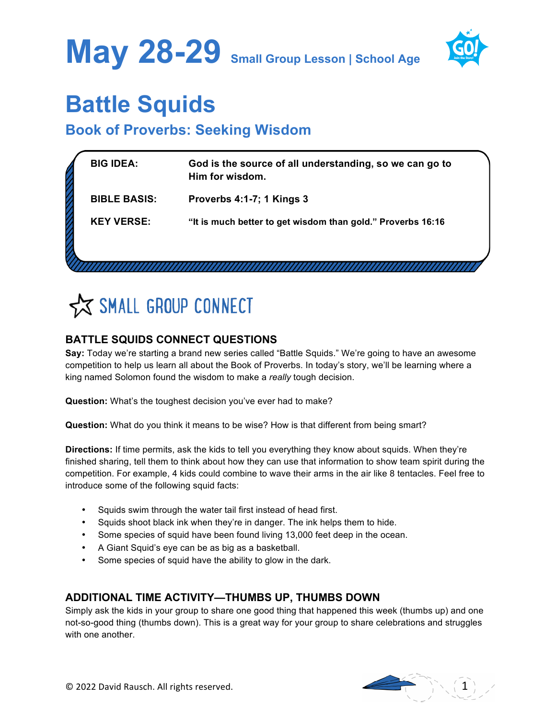



## **Battle Squids**

### **Book of Proverbs: Seeking Wisdom**

| <b>BIG IDEA:</b>    | God is the source of all understanding, so we can go to<br>Him for wisdom. |
|---------------------|----------------------------------------------------------------------------|
| <b>BIBLE BASIS:</b> | Proverbs 4:1-7; 1 Kings 3                                                  |
| <b>KEY VERSE:</b>   | "It is much better to get wisdom than gold." Proverbs 16:16                |
|                     |                                                                            |
|                     |                                                                            |

## SMALL GROUP CONNECT

#### **BATTLE SQUIDS CONNECT QUESTIONS**

**Say:** Today we're starting a brand new series called "Battle Squids." We're going to have an awesome competition to help us learn all about the Book of Proverbs. In today's story, we'll be learning where a king named Solomon found the wisdom to make a *really* tough decision.

**Question:** What's the toughest decision you've ever had to make?

**Question:** What do you think it means to be wise? How is that different from being smart?

**Directions:** If time permits, ask the kids to tell you everything they know about squids. When they're finished sharing, tell them to think about how they can use that information to show team spirit during the competition. For example, 4 kids could combine to wave their arms in the air like 8 tentacles. Feel free to introduce some of the following squid facts:

- Squids swim through the water tail first instead of head first.
- Squids shoot black ink when they're in danger. The ink helps them to hide.
- Some species of squid have been found living 13,000 feet deep in the ocean.
- A Giant Squid's eye can be as big as a basketball.
- Some species of squid have the ability to glow in the dark.

#### **ADDITIONAL TIME ACTIVITY—THUMBS UP, THUMBS DOWN**

Simply ask the kids in your group to share one good thing that happened this week (thumbs up) and one not-so-good thing (thumbs down). This is a great way for your group to share celebrations and struggles with one another.

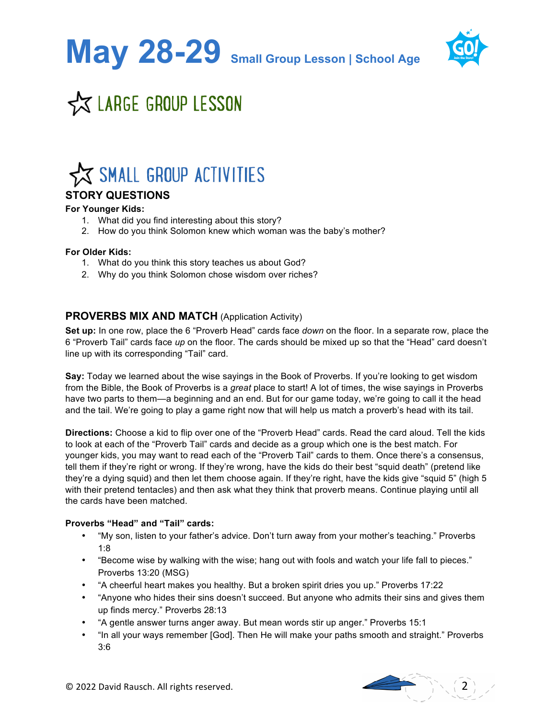**May 28-29 Small Group Lesson | School Age**



### **X LARGE GROUP LESSON**

### **X SMALL GROUP ACTIVITIES**

#### **STORY QUESTIONS**

#### **For Younger Kids:**

- 1. What did you find interesting about this story?
- 2. How do you think Solomon knew which woman was the baby's mother?

#### **For Older Kids:**

- 1. What do you think this story teaches us about God?
- 2. Why do you think Solomon chose wisdom over riches?

#### **PROVERBS MIX AND MATCH (Application Activity)**

**Set up:** In one row, place the 6 "Proverb Head" cards face *down* on the floor. In a separate row, place the 6 "Proverb Tail" cards face *up* on the floor. The cards should be mixed up so that the "Head" card doesn't line up with its corresponding "Tail" card.

**Say:** Today we learned about the wise sayings in the Book of Proverbs. If you're looking to get wisdom from the Bible, the Book of Proverbs is a *great* place to start! A lot of times, the wise sayings in Proverbs have two parts to them—a beginning and an end. But for our game today, we're going to call it the head and the tail. We're going to play a game right now that will help us match a proverb's head with its tail.

**Directions:** Choose a kid to flip over one of the "Proverb Head" cards. Read the card aloud. Tell the kids to look at each of the "Proverb Tail" cards and decide as a group which one is the best match. For younger kids, you may want to read each of the "Proverb Tail" cards to them. Once there's a consensus, tell them if they're right or wrong. If they're wrong, have the kids do their best "squid death" (pretend like they're a dying squid) and then let them choose again. If they're right, have the kids give "squid 5" (high 5 with their pretend tentacles) and then ask what they think that proverb means. Continue playing until all the cards have been matched.

#### **Proverbs "Head" and "Tail" cards:**

- "My son, listen to your father's advice. Don't turn away from your mother's teaching." Proverbs 1:8
- "Become wise by walking with the wise; hang out with fools and watch your life fall to pieces." Proverbs 13:20 (MSG)
- "A cheerful heart makes you healthy. But a broken spirit dries you up." Proverbs 17:22
- "Anyone who hides their sins doesn't succeed. But anyone who admits their sins and gives them up finds mercy." Proverbs 28:13
- "A gentle answer turns anger away. But mean words stir up anger." Proverbs 15:1
- "In all your ways remember [God]. Then He will make your paths smooth and straight." Proverbs 3:6